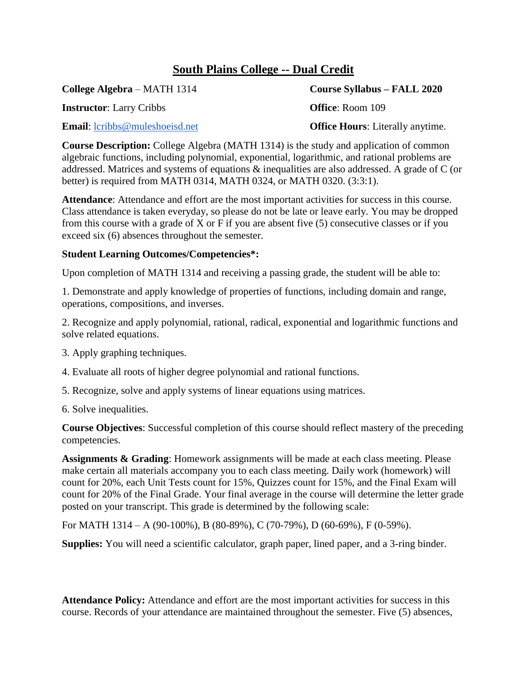## **South Plains College -- Dual Credit**

**Instructor**: Larry Cribbs **Office**: Room 109

**Email:** [lcribbs@muleshoeisd.net](mailto:lcribbs@muleshoeisd.net) **Office Hours**: Literally anytime.

**College Algebra** – MATH 1314 **Course Syllabus – FALL 2020**

**Course Description:** College Algebra (MATH 1314) is the study and application of common algebraic functions, including polynomial, exponential, logarithmic, and rational problems are addressed. Matrices and systems of equations & inequalities are also addressed. A grade of C (or better) is required from MATH 0314, MATH 0324, or MATH 0320. (3:3:1).

**Attendance**: Attendance and effort are the most important activities for success in this course. Class attendance is taken everyday, so please do not be late or leave early. You may be dropped from this course with a grade of X or F if you are absent five (5) consecutive classes or if you exceed six (6) absences throughout the semester.

## **Student Learning Outcomes/Competencies\*:**

Upon completion of MATH 1314 and receiving a passing grade, the student will be able to:

1. Demonstrate and apply knowledge of properties of functions, including domain and range, operations, compositions, and inverses.

2. Recognize and apply polynomial, rational, radical, exponential and logarithmic functions and solve related equations.

3. Apply graphing techniques.

- 4. Evaluate all roots of higher degree polynomial and rational functions.
- 5. Recognize, solve and apply systems of linear equations using matrices.
- 6. Solve inequalities.

**Course Objectives**: Successful completion of this course should reflect mastery of the preceding competencies.

**Assignments & Grading**: Homework assignments will be made at each class meeting. Please make certain all materials accompany you to each class meeting. Daily work (homework) will count for 20%, each Unit Tests count for 15%, Quizzes count for 15%, and the Final Exam will count for 20% of the Final Grade. Your final average in the course will determine the letter grade posted on your transcript. This grade is determined by the following scale:

For MATH 1314 – A (90-100%), B (80-89%), C (70-79%), D (60-69%), F (0-59%).

**Supplies:** You will need a scientific calculator, graph paper, lined paper, and a 3-ring binder.

**Attendance Policy:** Attendance and effort are the most important activities for success in this course. Records of your attendance are maintained throughout the semester. Five (5) absences,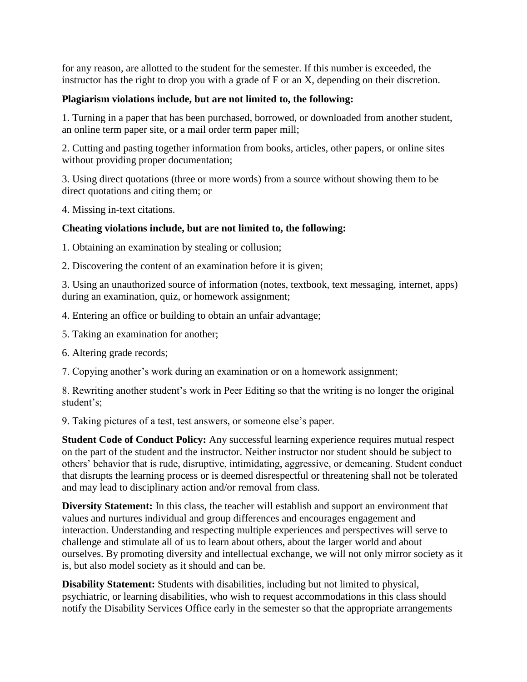for any reason, are allotted to the student for the semester. If this number is exceeded, the instructor has the right to drop you with a grade of F or an X, depending on their discretion.

## **Plagiarism violations include, but are not limited to, the following:**

1. Turning in a paper that has been purchased, borrowed, or downloaded from another student, an online term paper site, or a mail order term paper mill;

2. Cutting and pasting together information from books, articles, other papers, or online sites without providing proper documentation;

3. Using direct quotations (three or more words) from a source without showing them to be direct quotations and citing them; or

4. Missing in-text citations.

## **Cheating violations include, but are not limited to, the following:**

1. Obtaining an examination by stealing or collusion;

2. Discovering the content of an examination before it is given;

3. Using an unauthorized source of information (notes, textbook, text messaging, internet, apps) during an examination, quiz, or homework assignment;

4. Entering an office or building to obtain an unfair advantage;

5. Taking an examination for another;

6. Altering grade records;

7. Copying another's work during an examination or on a homework assignment;

8. Rewriting another student's work in Peer Editing so that the writing is no longer the original student's;

9. Taking pictures of a test, test answers, or someone else's paper.

**Student Code of Conduct Policy:** Any successful learning experience requires mutual respect on the part of the student and the instructor. Neither instructor nor student should be subject to others' behavior that is rude, disruptive, intimidating, aggressive, or demeaning. Student conduct that disrupts the learning process or is deemed disrespectful or threatening shall not be tolerated and may lead to disciplinary action and/or removal from class.

**Diversity Statement:** In this class, the teacher will establish and support an environment that values and nurtures individual and group differences and encourages engagement and interaction. Understanding and respecting multiple experiences and perspectives will serve to challenge and stimulate all of us to learn about others, about the larger world and about ourselves. By promoting diversity and intellectual exchange, we will not only mirror society as it is, but also model society as it should and can be.

**Disability Statement:** Students with disabilities, including but not limited to physical, psychiatric, or learning disabilities, who wish to request accommodations in this class should notify the Disability Services Office early in the semester so that the appropriate arrangements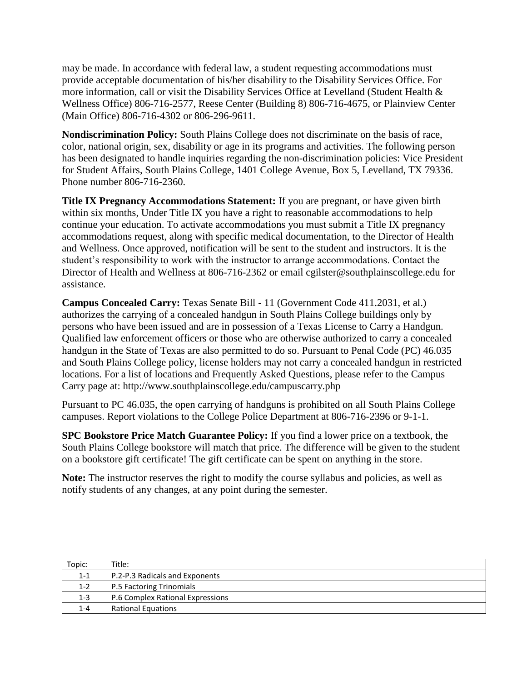may be made. In accordance with federal law, a student requesting accommodations must provide acceptable documentation of his/her disability to the Disability Services Office. For more information, call or visit the Disability Services Office at Levelland (Student Health & Wellness Office) 806-716-2577, Reese Center (Building 8) 806-716-4675, or Plainview Center (Main Office) 806-716-4302 or 806-296-9611.

**Nondiscrimination Policy:** South Plains College does not discriminate on the basis of race, color, national origin, sex, disability or age in its programs and activities. The following person has been designated to handle inquiries regarding the non-discrimination policies: Vice President for Student Affairs, South Plains College, 1401 College Avenue, Box 5, Levelland, TX 79336. Phone number 806-716-2360.

**Title IX Pregnancy Accommodations Statement:** If you are pregnant, or have given birth within six months, Under Title IX you have a right to reasonable accommodations to help continue your education. To activate accommodations you must submit a Title IX pregnancy accommodations request, along with specific medical documentation, to the Director of Health and Wellness. Once approved, notification will be sent to the student and instructors. It is the student's responsibility to work with the instructor to arrange accommodations. Contact the Director of Health and Wellness at 806-716-2362 or email cgilster@southplainscollege.edu for assistance.

**Campus Concealed Carry:** Texas Senate Bill - 11 (Government Code 411.2031, et al.) authorizes the carrying of a concealed handgun in South Plains College buildings only by persons who have been issued and are in possession of a Texas License to Carry a Handgun. Qualified law enforcement officers or those who are otherwise authorized to carry a concealed handgun in the State of Texas are also permitted to do so. Pursuant to Penal Code (PC) 46.035 and South Plains College policy, license holders may not carry a concealed handgun in restricted locations. For a list of locations and Frequently Asked Questions, please refer to the Campus Carry page at: http://www.southplainscollege.edu/campuscarry.php

Pursuant to PC 46.035, the open carrying of handguns is prohibited on all South Plains College campuses. Report violations to the College Police Department at 806-716-2396 or 9-1-1.

**SPC Bookstore Price Match Guarantee Policy:** If you find a lower price on a textbook, the South Plains College bookstore will match that price. The difference will be given to the student on a bookstore gift certificate! The gift certificate can be spent on anything in the store.

**Note:** The instructor reserves the right to modify the course syllabus and policies, as well as notify students of any changes, at any point during the semester.

| Topic:  | Title:                           |
|---------|----------------------------------|
| $1 - 1$ | P.2-P.3 Radicals and Exponents   |
| $1 - 2$ | P.5 Factoring Trinomials         |
| 1-3     | P.6 Complex Rational Expressions |
| $1 - 4$ | <b>Rational Equations</b>        |